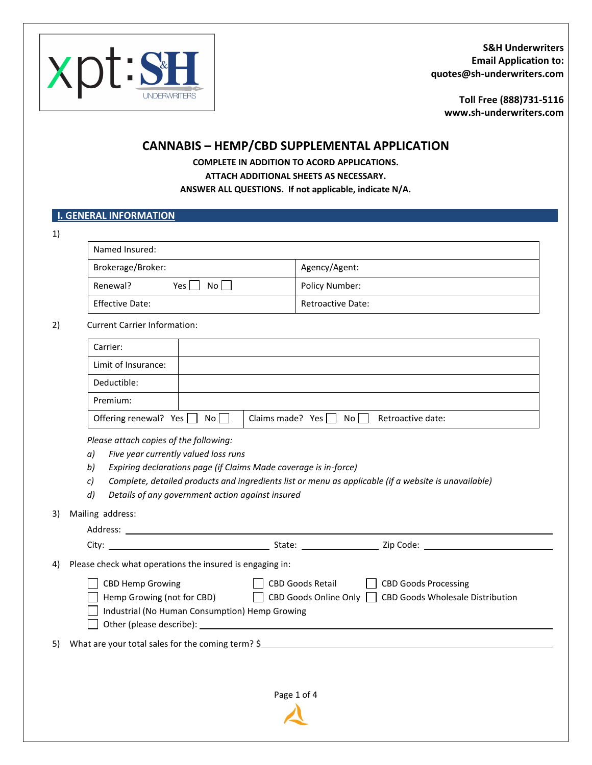

**[Toll Free \(888\)731-51](http://www.kinsaleins.com/)16 www.sh-underwriters.com** 

# **CANNABIS – HEMP/CBD SUPPLEMENTAL APPLICATION**

**COMPLETE IN ADDITION TO ACORD APPLICATIONS. ATTACH ADDITIONAL SHEETS AS NECESSARY. ANSWER ALL QUESTIONS. If not applicable, indicate N/A.** 

## **I. GENERAL INFORMATION**

| ٦<br>×. |   |
|---------|---|
|         |   |
|         | ł |

| Named Insured:            |                          |
|---------------------------|--------------------------|
| Brokerage/Broker:         | Agency/Agent:            |
| Renewal?<br>No l<br>Yes l | Policy Number:           |
| <b>Effective Date:</b>    | <b>Retroactive Date:</b> |

#### 2) Current Carrier Information:

| Carrier:                               |                                                        |
|----------------------------------------|--------------------------------------------------------|
| Limit of Insurance:                    |                                                        |
| Deductible:                            |                                                        |
| Premium:                               |                                                        |
| Offering renewal? Yes $\Box$ No $\Box$ | Claims made? Yes $\Box$ No $\Box$<br>Retroactive date: |

*Please attach copies of the following:*

- *a) Five year currently valued loss runs*
- *b) Expiring declarations page (if Claims Made coverage is in-force)*
- *c) Complete, detailed products and ingredients list or menu as applicable (if a website is unavailable)*
- *d) Details of any government action against insured*

3) Mailing address:

| 4) | Please check what operations the insured is engaging in:                                         |                         |                                                                                       |
|----|--------------------------------------------------------------------------------------------------|-------------------------|---------------------------------------------------------------------------------------|
|    | CBD Hemp Growing<br>Hemp Growing (not for CBD)<br>Industrial (No Human Consumption) Hemp Growing | <b>CBD Goods Retail</b> | <b>CBD Goods Processing</b><br>CBD Goods Online Only CBD Goods Wholesale Distribution |
|    |                                                                                                  |                         | 5) What are your total sales for the coming term? $\frac{6}{5}$                       |
|    |                                                                                                  | Page 1 of 4             |                                                                                       |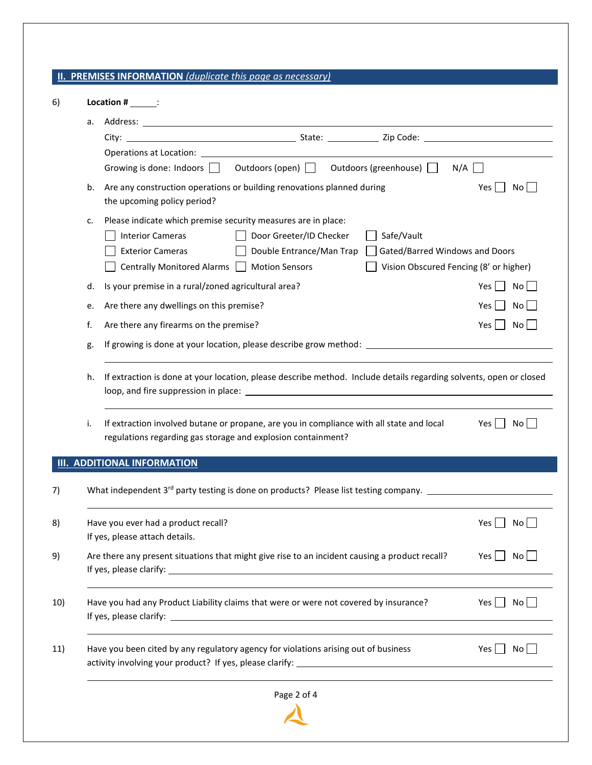### **II. PREMISES INFORMATION** *(duplicate this page as necessary)*

| а.                                                                                                                                                                                                                                                                                                            |                                                                                                                                                                                                                                                                                                         |
|---------------------------------------------------------------------------------------------------------------------------------------------------------------------------------------------------------------------------------------------------------------------------------------------------------------|---------------------------------------------------------------------------------------------------------------------------------------------------------------------------------------------------------------------------------------------------------------------------------------------------------|
|                                                                                                                                                                                                                                                                                                               |                                                                                                                                                                                                                                                                                                         |
| Operations at Location: <u>contract and contract and contract and contract and contract and contract of the contract of the contract of the contract of the contract of the contract of the contract of the contract of the cont</u>                                                                          |                                                                                                                                                                                                                                                                                                         |
| Growing is done: Indoors   Outdoors (open)   Outdoors (greenhouse)  <br>N/A                                                                                                                                                                                                                                   |                                                                                                                                                                                                                                                                                                         |
| Are any construction operations or building renovations planned during<br>Yes<br>the upcoming policy period?                                                                                                                                                                                                  | Nol                                                                                                                                                                                                                                                                                                     |
| Please indicate which premise security measures are in place:<br>c.                                                                                                                                                                                                                                           |                                                                                                                                                                                                                                                                                                         |
| Door Greeter/ID Checker<br><b>Interior Cameras</b><br>Safe/Vault                                                                                                                                                                                                                                              |                                                                                                                                                                                                                                                                                                         |
| <b>Exterior Cameras</b><br>Gated/Barred Windows and Doors<br>Double Entrance/Man Trap                                                                                                                                                                                                                         |                                                                                                                                                                                                                                                                                                         |
| Centrally Monitored Alarms   Motion Sensors<br>Vision Obscured Fencing (8' or higher)                                                                                                                                                                                                                         |                                                                                                                                                                                                                                                                                                         |
| Is your premise in a rural/zoned agricultural area?<br>Yes                                                                                                                                                                                                                                                    | No                                                                                                                                                                                                                                                                                                      |
| Are there any dwellings on this premise?<br>Yes                                                                                                                                                                                                                                                               | No                                                                                                                                                                                                                                                                                                      |
| Are there any firearms on the premise?                                                                                                                                                                                                                                                                        | Yes I<br>No l                                                                                                                                                                                                                                                                                           |
| If growing is done at your location, please describe grow method: __________________________________                                                                                                                                                                                                          |                                                                                                                                                                                                                                                                                                         |
| If extraction is done at your location, please describe method. Include details regarding solvents, open or closed<br>h.<br>If extraction involved butane or propane, are you in compliance with all state and local<br>$Yes$  <br>No l<br>i.<br>regulations regarding gas storage and explosion containment? |                                                                                                                                                                                                                                                                                                         |
|                                                                                                                                                                                                                                                                                                               |                                                                                                                                                                                                                                                                                                         |
| What independent 3 <sup>rd</sup> party testing is done on products? Please list testing company.                                                                                                                                                                                                              |                                                                                                                                                                                                                                                                                                         |
| Yes                                                                                                                                                                                                                                                                                                           | No l                                                                                                                                                                                                                                                                                                    |
|                                                                                                                                                                                                                                                                                                               |                                                                                                                                                                                                                                                                                                         |
|                                                                                                                                                                                                                                                                                                               | $Yes \mid No \mid$                                                                                                                                                                                                                                                                                      |
|                                                                                                                                                                                                                                                                                                               | No<br>Yes                                                                                                                                                                                                                                                                                               |
| Have you been cited by any regulatory agency for violations arising out of business                                                                                                                                                                                                                           | $Yes$  <br>No                                                                                                                                                                                                                                                                                           |
| d.<br>e.<br>f.<br>g.                                                                                                                                                                                                                                                                                          | b.<br><b>ADDITIONAL INFORMATION</b><br>Have you ever had a product recall?<br>If yes, please attach details.<br>Are there any present situations that might give rise to an incident causing a product recall?<br>Have you had any Product Liability claims that were or were not covered by insurance? |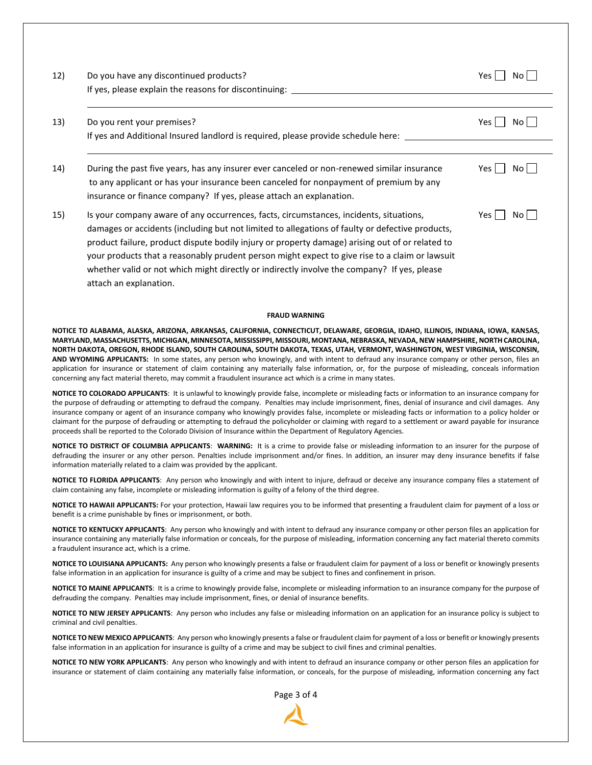| 12) | Do you have any discontinued products?<br>If yes, please explain the reasons for discontinuing: | No I<br>Yes N |
|-----|-------------------------------------------------------------------------------------------------|---------------|
|     |                                                                                                 |               |
| 13) | Do you rent your premises?                                                                      | No l<br>Yes I |

| 14)                                                                                   | During the past five years, has any insurer ever canceled or non-renewed similar insurance | $Yes \mid \mid No$ |
|---------------------------------------------------------------------------------------|--------------------------------------------------------------------------------------------|--------------------|
| to any applicant or has your insurance been canceled for nonpayment of premium by any |                                                                                            |                    |
| insurance or finance company? If yes, please attach an explanation.                   |                                                                                            |                    |

If yes and Additional Insured landlord is required, please provide schedule here:

15) Is your company aware of any occurrences, facts, circumstances, incidents, situations,  $Y \in \Box \cap N$ damages or accidents (including but not limited to allegations of faulty or defective products, product failure, product dispute bodily injury or property damage) arising out of or related to your products that a reasonably prudent person might expect to give rise to a claim or lawsuit whether valid or not which might directly or indirectly involve the company? If yes, please attach an explanation.

#### **FRAUD WARNING**

**NOTICE TO ALABAMA, ALASKA, ARIZONA, ARKANSAS, CALIFORNIA, CONNECTICUT, DELAWARE, GEORGIA, IDAHO, ILLINOIS, INDIANA, IOWA, KANSAS, MARYLAND, MASSACHUSETTS, MICHIGAN, MINNESOTA, MISSISSIPPI, MISSOURI, MONTANA, NEBRASKA, NEVADA, NEW HAMPSHIRE, NORTH CAROLINA, NORTH DAKOTA, OREGON, RHODE ISLAND, SOUTH CAROLINA, SOUTH DAKOTA, TEXAS, UTAH, VERMONT, WASHINGTON, WEST VIRGINIA, WISCONSIN, AND WYOMING APPLICANTS:** In some states, any person who knowingly, and with intent to defraud any insurance company or other person, files an application for insurance or statement of claim containing any materially false information, or, for the purpose of misleading, conceals information concerning any fact material thereto, may commit a fraudulent insurance act which is a crime in many states.

**NOTICE TO COLORADO APPLICANTS**: It is unlawful to knowingly provide false, incomplete or misleading facts or information to an insurance company for the purpose of defrauding or attempting to defraud the company. Penalties may include imprisonment, fines, denial of insurance and civil damages. Any insurance company or agent of an insurance company who knowingly provides false, incomplete or misleading facts or information to a policy holder or claimant for the purpose of defrauding or attempting to defraud the policyholder or claiming with regard to a settlement or award payable for insurance proceeds shall be reported to the Colorado Division of Insurance within the Department of Regulatory Agencies.

**NOTICE TO DISTRICT OF COLUMBIA APPLICANTS**: **WARNING:** It is a crime to provide false or misleading information to an insurer for the purpose of defrauding the insurer or any other person. Penalties include imprisonment and/or fines. In addition, an insurer may deny insurance benefits if false information materially related to a claim was provided by the applicant.

**NOTICE TO FLORIDA APPLICANTS**: Any person who knowingly and with intent to injure, defraud or deceive any insurance company files a statement of claim containing any false, incomplete or misleading information is guilty of a felony of the third degree.

**NOTICE TO HAWAII APPLICANTS:** For your protection, Hawaii law requires you to be informed that presenting a fraudulent claim for payment of a loss or benefit is a crime punishable by fines or imprisonment, or both.

**NOTICE TO KENTUCKY APPLICANTS**: Any person who knowingly and with intent to defraud any insurance company or other person files an application for insurance containing any materially false information or conceals, for the purpose of misleading, information concerning any fact material thereto commits a fraudulent insurance act, which is a crime.

**NOTICE TO LOUISIANA APPLICANTS:** Any person who knowingly presents a false or fraudulent claim for payment of a loss or benefit or knowingly presents false information in an application for insurance is guilty of a crime and may be subject to fines and confinement in prison.

**NOTICE TO MAINE APPLICANTS**: It is a crime to knowingly provide false, incomplete or misleading information to an insurance company for the purpose of defrauding the company. Penalties may include imprisonment, fines, or denial of insurance benefits.

**NOTICE TO NEW JERSEY APPLICANTS**: Any person who includes any false or misleading information on an application for an insurance policy is subject to criminal and civil penalties.

**NOTICE TO NEW MEXICO APPLICANTS**: Any person who knowingly presents a false or fraudulent claim for payment of a loss or benefit or knowingly presents false information in an application for insurance is guilty of a crime and may be subject to civil fines and criminal penalties.

**NOTICE TO NEW YORK APPLICANTS**: Any person who knowingly and with intent to defraud an insurance company or other person files an application for insurance or statement of claim containing any materially false information, or conceals, for the purpose of misleading, information concerning any fact